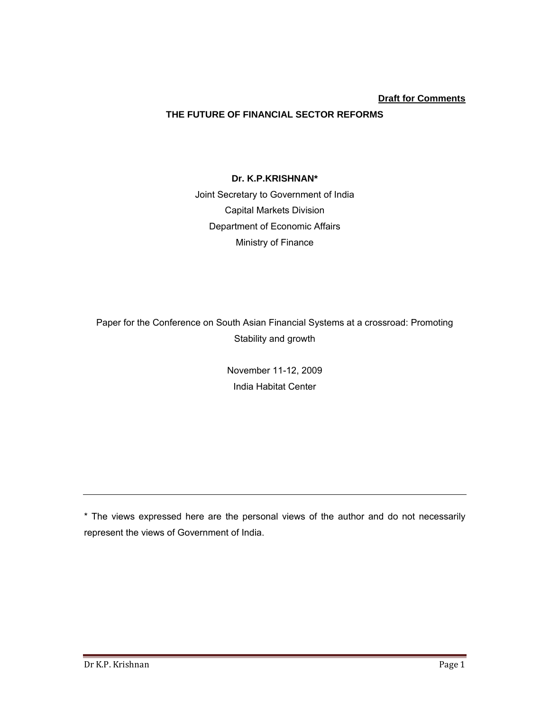# **Draft for Comments**

# **THE FUTURE OF FINANCIAL SECTOR REFORMS**

#### **Dr. K.P.KRISHNAN\***

Joint Secretary to Government of India Capital Markets Division Department of Economic Affairs Ministry of Finance

Paper for the Conference on South Asian Financial Systems at a crossroad: Promoting Stability and growth

> November 11-12, 2009 India Habitat Center

\* The views expressed here are the personal views of the author and do not necessarily represent the views of Government of India.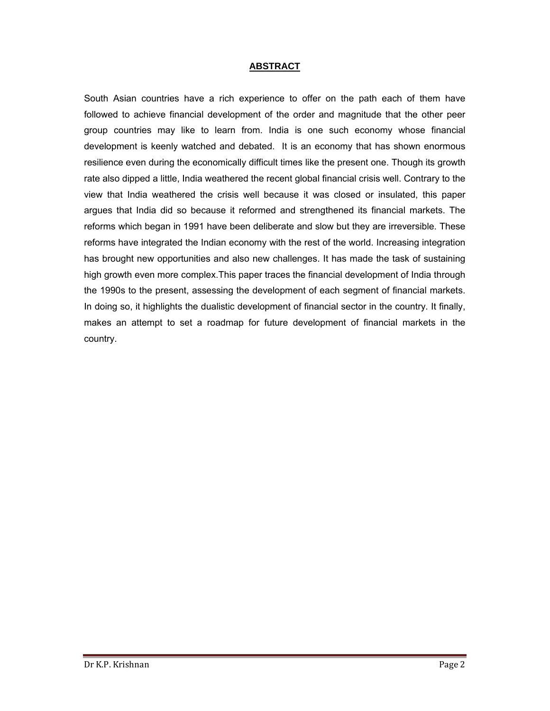#### **ABSTRACT**

South Asian countries have a rich experience to offer on the path each of them have followed to achieve financial development of the order and magnitude that the other peer group countries may like to learn from. India is one such economy whose financial development is keenly watched and debated. It is an economy that has shown enormous resilience even during the economically difficult times like the present one. Though its growth rate also dipped a little, India weathered the recent global financial crisis well. Contrary to the view that India weathered the crisis well because it was closed or insulated, this paper argues that India did so because it reformed and strengthened its financial markets. The reforms which began in 1991 have been deliberate and slow but they are irreversible. These reforms have integrated the Indian economy with the rest of the world. Increasing integration has brought new opportunities and also new challenges. It has made the task of sustaining high growth even more complex.This paper traces the financial development of India through the 1990s to the present, assessing the development of each segment of financial markets. In doing so, it highlights the dualistic development of financial sector in the country. It finally, makes an attempt to set a roadmap for future development of financial markets in the country.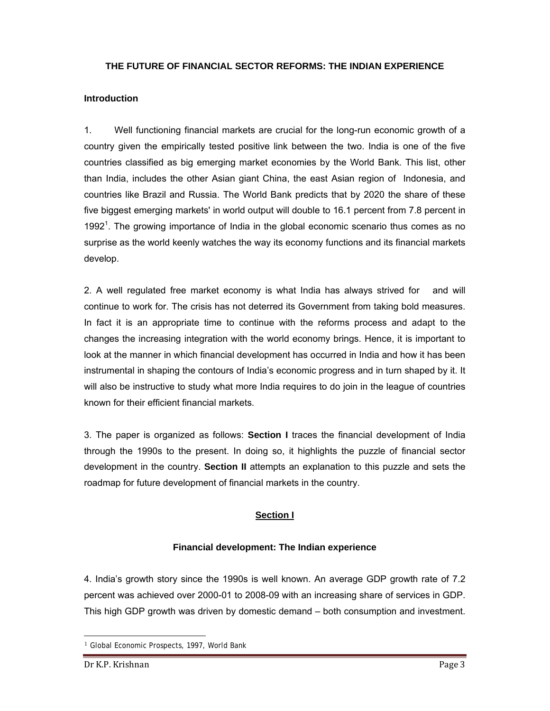#### **THE FUTURE OF FINANCIAL SECTOR REFORMS: THE INDIAN EXPERIENCE**

#### **Introduction**

1. Well functioning financial markets are crucial for the long-run economic growth of a country given the empirically tested positive link between the two. India is one of the five countries classified as big emerging market economies by the World Bank. This list, other than India, includes the other Asian giant China, the east Asian region of Indonesia, and countries like Brazil and Russia. The World Bank predicts that by 2020 the share of these five biggest emerging markets' in world output will double to 16.1 percent from 7.8 percent in 1992<sup>1</sup>. The growing importance of India in the global economic scenario thus comes as no surprise as the world keenly watches the way its economy functions and its financial markets develop.

2. A well regulated free market economy is what India has always strived for and will continue to work for. The crisis has not deterred its Government from taking bold measures. In fact it is an appropriate time to continue with the reforms process and adapt to the changes the increasing integration with the world economy brings. Hence, it is important to look at the manner in which financial development has occurred in India and how it has been instrumental in shaping the contours of India's economic progress and in turn shaped by it. It will also be instructive to study what more India requires to do join in the league of countries known for their efficient financial markets.

3. The paper is organized as follows: **Section I** traces the financial development of India through the 1990s to the present. In doing so, it highlights the puzzle of financial sector development in the country. **Section II** attempts an explanation to this puzzle and sets the roadmap for future development of financial markets in the country.

## **Section I**

#### **Financial development: The Indian experience**

4. India's growth story since the 1990s is well known. An average GDP growth rate of 7.2 percent was achieved over 2000-01 to 2008-09 with an increasing share of services in GDP. This high GDP growth was driven by domestic demand – both consumption and investment.

<sup>&</sup>lt;sup>1</sup> Global Economic Prospects, 1997, World Bank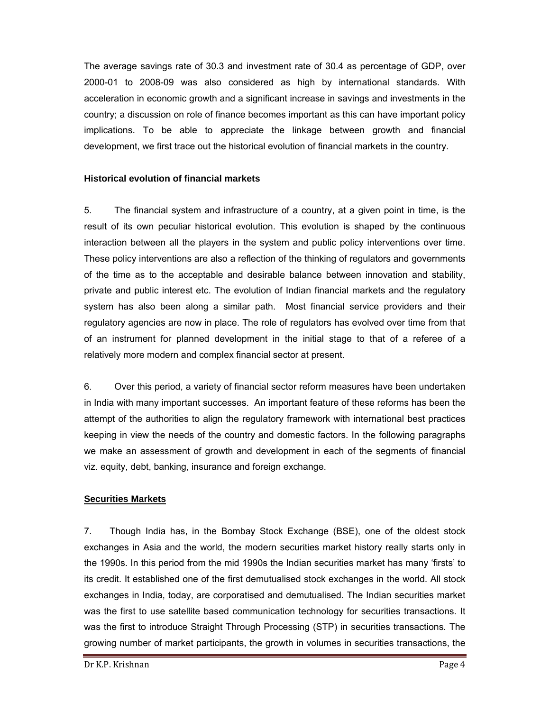The average savings rate of 30.3 and investment rate of 30.4 as percentage of GDP, over 2000-01 to 2008-09 was also considered as high by international standards. With acceleration in economic growth and a significant increase in savings and investments in the country; a discussion on role of finance becomes important as this can have important policy implications. To be able to appreciate the linkage between growth and financial development, we first trace out the historical evolution of financial markets in the country.

#### **Historical evolution of financial markets**

5. The financial system and infrastructure of a country, at a given point in time, is the result of its own peculiar historical evolution. This evolution is shaped by the continuous interaction between all the players in the system and public policy interventions over time. These policy interventions are also a reflection of the thinking of regulators and governments of the time as to the acceptable and desirable balance between innovation and stability, private and public interest etc. The evolution of Indian financial markets and the regulatory system has also been along a similar path. Most financial service providers and their regulatory agencies are now in place. The role of regulators has evolved over time from that of an instrument for planned development in the initial stage to that of a referee of a relatively more modern and complex financial sector at present.

6. Over this period, a variety of financial sector reform measures have been undertaken in India with many important successes. An important feature of these reforms has been the attempt of the authorities to align the regulatory framework with international best practices keeping in view the needs of the country and domestic factors. In the following paragraphs we make an assessment of growth and development in each of the segments of financial viz. equity, debt, banking, insurance and foreign exchange.

## **Securities Markets**

7. Though India has, in the Bombay Stock Exchange (BSE), one of the oldest stock exchanges in Asia and the world, the modern securities market history really starts only in the 1990s. In this period from the mid 1990s the Indian securities market has many 'firsts' to its credit. It established one of the first demutualised stock exchanges in the world. All stock exchanges in India, today, are corporatised and demutualised. The Indian securities market was the first to use satellite based communication technology for securities transactions. It was the first to introduce Straight Through Processing (STP) in securities transactions. The growing number of market participants, the growth in volumes in securities transactions, the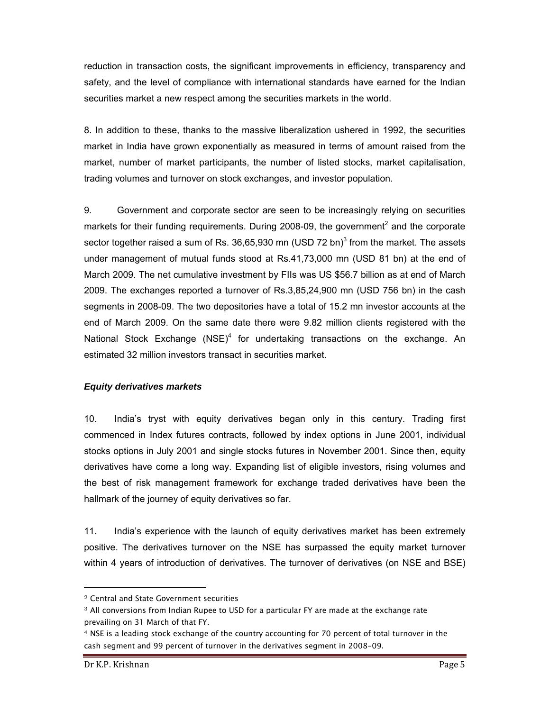reduction in transaction costs, the significant improvements in efficiency, transparency and safety, and the level of compliance with international standards have earned for the Indian securities market a new respect among the securities markets in the world.

8. In addition to these, thanks to the massive liberalization ushered in 1992, the securities market in India have grown exponentially as measured in terms of amount raised from the market, number of market participants, the number of listed stocks, market capitalisation, trading volumes and turnover on stock exchanges, and investor population.

9. Government and corporate sector are seen to be increasingly relying on securities markets for their funding requirements. During 2008-09, the government<sup>2</sup> and the corporate sector together raised a sum of Rs. 36,65,930 mn (USD 72 bn)<sup>3</sup> from the market. The assets under management of mutual funds stood at Rs.41,73,000 mn (USD 81 bn) at the end of March 2009. The net cumulative investment by FIIs was US \$56.7 billion as at end of March 2009. The exchanges reported a turnover of Rs.3,85,24,900 mn (USD 756 bn) in the cash segments in 2008-09. The two depositories have a total of 15.2 mn investor accounts at the end of March 2009. On the same date there were 9.82 million clients registered with the National Stock Exchange  $(NSE)^4$  for undertaking transactions on the exchange. An estimated 32 million investors transact in securities market.

## *Equity derivatives markets*

10. India's tryst with equity derivatives began only in this century. Trading first commenced in Index futures contracts, followed by index options in June 2001, individual stocks options in July 2001 and single stocks futures in November 2001. Since then, equity derivatives have come a long way. Expanding list of eligible investors, rising volumes and the best of risk management framework for exchange traded derivatives have been the hallmark of the journey of equity derivatives so far.

11. India's experience with the launch of equity derivatives market has been extremely positive. The derivatives turnover on the NSE has surpassed the equity market turnover within 4 years of introduction of derivatives. The turnover of derivatives (on NSE and BSE)

<sup>2</sup> Central and State Government securities

<sup>3</sup> All conversions from Indian Rupee to USD for a particular FY are made at the exchange rate prevailing on 31 March of that FY.

<sup>4</sup> NSE is a leading stock exchange of the country accounting for 70 percent of total turnover in the cash segment and 99 percent of turnover in the derivatives segment in 2008-09.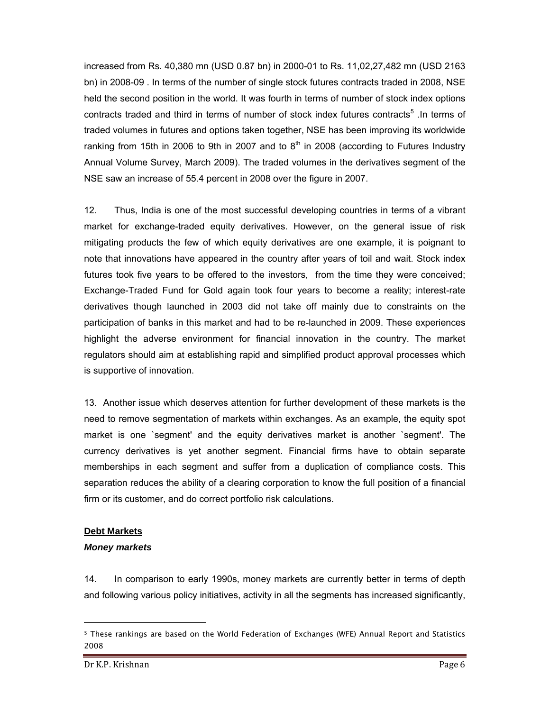increased from Rs. 40,380 mn (USD 0.87 bn) in 2000-01 to Rs. 11,02,27,482 mn (USD 2163 bn) in 2008-09 . In terms of the number of single stock futures contracts traded in 2008, NSE held the second position in the world. It was fourth in terms of number of stock index options contracts traded and third in terms of number of stock index futures contracts<sup>5</sup>. In terms of traded volumes in futures and options taken together, NSE has been improving its worldwide ranking from 15th in 2006 to 9th in 2007 and to  $8<sup>th</sup>$  in 2008 (according to Futures Industry Annual Volume Survey, March 2009). The traded volumes in the derivatives segment of the NSE saw an increase of 55.4 percent in 2008 over the figure in 2007.

12. Thus, India is one of the most successful developing countries in terms of a vibrant market for exchange-traded equity derivatives. However, on the general issue of risk mitigating products the few of which equity derivatives are one example, it is poignant to note that innovations have appeared in the country after years of toil and wait. Stock index futures took five years to be offered to the investors, from the time they were conceived; Exchange-Traded Fund for Gold again took four years to become a reality; interest-rate derivatives though launched in 2003 did not take off mainly due to constraints on the participation of banks in this market and had to be re-launched in 2009. These experiences highlight the adverse environment for financial innovation in the country. The market regulators should aim at establishing rapid and simplified product approval processes which is supportive of innovation.

13. Another issue which deserves attention for further development of these markets is the need to remove segmentation of markets within exchanges. As an example, the equity spot market is one `segment' and the equity derivatives market is another `segment'. The currency derivatives is yet another segment. Financial firms have to obtain separate memberships in each segment and suffer from a duplication of compliance costs. This separation reduces the ability of a clearing corporation to know the full position of a financial firm or its customer, and do correct portfolio risk calculations.

## **Debt Markets**

## *Money markets*

14. In comparison to early 1990s, money markets are currently better in terms of depth and following various policy initiatives, activity in all the segments has increased significantly,

<sup>5</sup> These rankings are based on the World Federation of Exchanges (WFE) Annual Report and Statistics 2008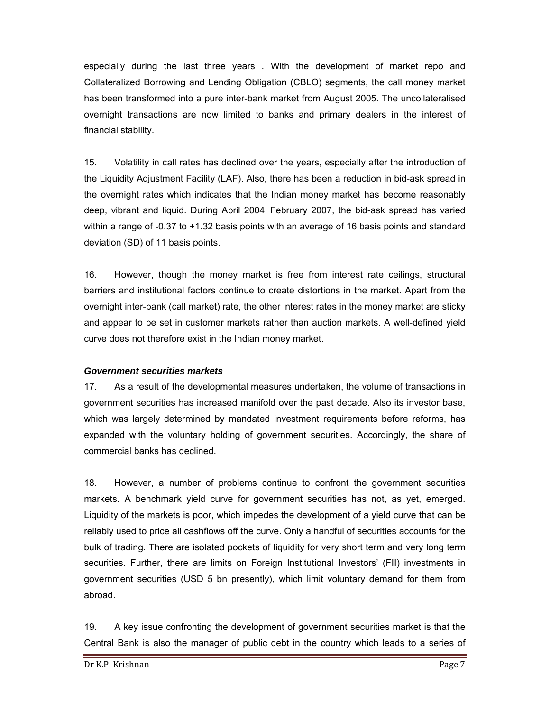especially during the last three years . With the development of market repo and Collateralized Borrowing and Lending Obligation (CBLO) segments, the call money market has been transformed into a pure inter-bank market from August 2005. The uncollateralised overnight transactions are now limited to banks and primary dealers in the interest of financial stability.

15. Volatility in call rates has declined over the years, especially after the introduction of the Liquidity Adjustment Facility (LAF). Also, there has been a reduction in bid-ask spread in the overnight rates which indicates that the Indian money market has become reasonably deep, vibrant and liquid. During April 2004−February 2007, the bid-ask spread has varied within a range of -0.37 to +1.32 basis points with an average of 16 basis points and standard deviation (SD) of 11 basis points.

16. However, though the money market is free from interest rate ceilings, structural barriers and institutional factors continue to create distortions in the market. Apart from the overnight inter-bank (call market) rate, the other interest rates in the money market are sticky and appear to be set in customer markets rather than auction markets. A well-defined yield curve does not therefore exist in the Indian money market.

## *Government securities markets*

17. As a result of the developmental measures undertaken, the volume of transactions in government securities has increased manifold over the past decade. Also its investor base, which was largely determined by mandated investment requirements before reforms, has expanded with the voluntary holding of government securities. Accordingly, the share of commercial banks has declined.

18. However, a number of problems continue to confront the government securities markets. A benchmark yield curve for government securities has not, as yet, emerged. Liquidity of the markets is poor, which impedes the development of a yield curve that can be reliably used to price all cashflows off the curve. Only a handful of securities accounts for the bulk of trading. There are isolated pockets of liquidity for very short term and very long term securities. Further, there are limits on Foreign Institutional Investors' (FII) investments in government securities (USD 5 bn presently), which limit voluntary demand for them from abroad.

19. A key issue confronting the development of government securities market is that the Central Bank is also the manager of public debt in the country which leads to a series of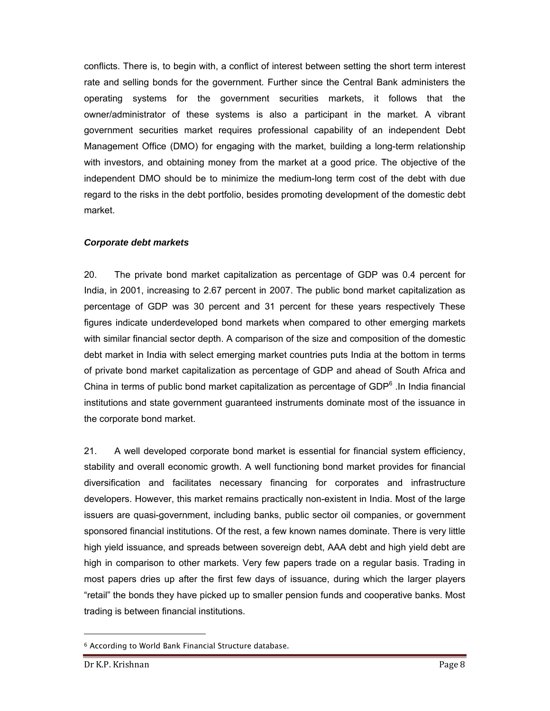conflicts. There is, to begin with, a conflict of interest between setting the short term interest rate and selling bonds for the government. Further since the Central Bank administers the operating systems for the government securities markets, it follows that the owner/administrator of these systems is also a participant in the market. A vibrant government securities market requires professional capability of an independent Debt Management Office (DMO) for engaging with the market, building a long-term relationship with investors, and obtaining money from the market at a good price. The objective of the independent DMO should be to minimize the medium-long term cost of the debt with due regard to the risks in the debt portfolio, besides promoting development of the domestic debt market.

## *Corporate debt markets*

20. The private bond market capitalization as percentage of GDP was 0.4 percent for India, in 2001, increasing to 2.67 percent in 2007. The public bond market capitalization as percentage of GDP was 30 percent and 31 percent for these years respectively These figures indicate underdeveloped bond markets when compared to other emerging markets with similar financial sector depth. A comparison of the size and composition of the domestic debt market in India with select emerging market countries puts India at the bottom in terms of private bond market capitalization as percentage of GDP and ahead of South Africa and China in terms of public bond market capitalization as percentage of GDP $<sup>6</sup>$  . In India financial</sup> institutions and state government guaranteed instruments dominate most of the issuance in the corporate bond market.

21. A well developed corporate bond market is essential for financial system efficiency, stability and overall economic growth. A well functioning bond market provides for financial diversification and facilitates necessary financing for corporates and infrastructure developers. However, this market remains practically non-existent in India. Most of the large issuers are quasi-government, including banks, public sector oil companies, or government sponsored financial institutions. Of the rest, a few known names dominate. There is very little high yield issuance, and spreads between sovereign debt, AAA debt and high yield debt are high in comparison to other markets. Very few papers trade on a regular basis. Trading in most papers dries up after the first few days of issuance, during which the larger players "retail" the bonds they have picked up to smaller pension funds and cooperative banks. Most trading is between financial institutions.

-

<sup>6</sup> According to World Bank Financial Structure database.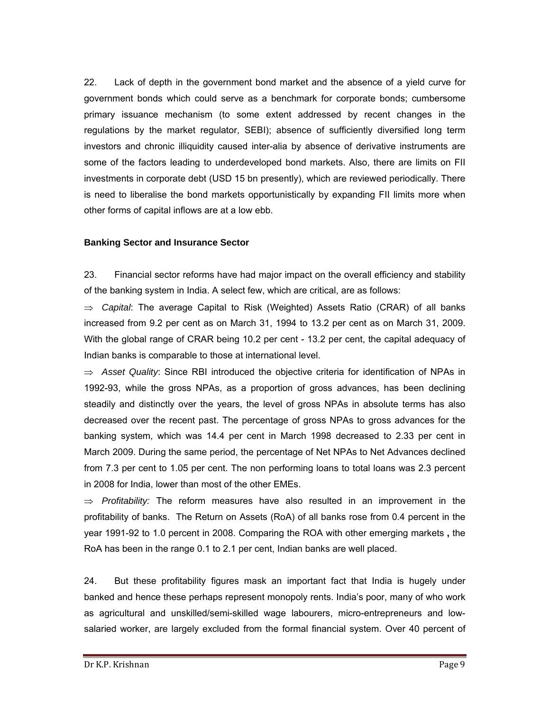22. Lack of depth in the government bond market and the absence of a yield curve for government bonds which could serve as a benchmark for corporate bonds; cumbersome primary issuance mechanism (to some extent addressed by recent changes in the regulations by the market regulator, SEBI); absence of sufficiently diversified long term investors and chronic illiquidity caused inter-alia by absence of derivative instruments are some of the factors leading to underdeveloped bond markets. Also, there are limits on FII investments in corporate debt (USD 15 bn presently), which are reviewed periodically. There is need to liberalise the bond markets opportunistically by expanding FII limits more when other forms of capital inflows are at a low ebb.

#### **Banking Sector and Insurance Sector**

23. Financial sector reforms have had major impact on the overall efficiency and stability of the banking system in India. A select few, which are critical, are as follows:

⇒ *Capital*: The average Capital to Risk (Weighted) Assets Ratio (CRAR) of all banks increased from 9.2 per cent as on March 31, 1994 to 13.2 per cent as on March 31, 2009. With the global range of CRAR being 10.2 per cent - 13.2 per cent, the capital adequacy of Indian banks is comparable to those at international level.

⇒ *Asset Quality*: Since RBI introduced the objective criteria for identification of NPAs in 1992-93, while the gross NPAs, as a proportion of gross advances, has been declining steadily and distinctly over the years, the level of gross NPAs in absolute terms has also decreased over the recent past. The percentage of gross NPAs to gross advances for the banking system, which was 14.4 per cent in March 1998 decreased to 2.33 per cent in March 2009. During the same period, the percentage of Net NPAs to Net Advances declined from 7.3 per cent to 1.05 per cent. The non performing loans to total loans was 2.3 percent in 2008 for India, lower than most of the other EMEs.

⇒ *Profitability:* The reform measures have also resulted in an improvement in the profitability of banks. The Return on Assets (RoA) of all banks rose from 0.4 percent in the year 1991-92 to 1.0 percent in 2008. Comparing the ROA with other emerging markets **,** the RoA has been in the range 0.1 to 2.1 per cent, Indian banks are well placed.

24. But these profitability figures mask an important fact that India is hugely under banked and hence these perhaps represent monopoly rents. India's poor, many of who work as agricultural and unskilled/semi-skilled wage labourers, micro-entrepreneurs and lowsalaried worker, are largely excluded from the formal financial system. Over 40 percent of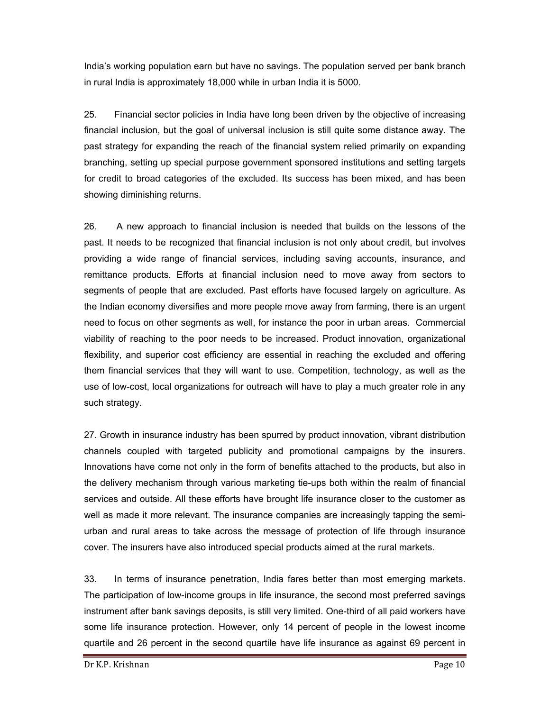India's working population earn but have no savings. The population served per bank branch in rural India is approximately 18,000 while in urban India it is 5000.

25. Financial sector policies in India have long been driven by the objective of increasing financial inclusion, but the goal of universal inclusion is still quite some distance away. The past strategy for expanding the reach of the financial system relied primarily on expanding branching, setting up special purpose government sponsored institutions and setting targets for credit to broad categories of the excluded. Its success has been mixed, and has been showing diminishing returns.

26. A new approach to financial inclusion is needed that builds on the lessons of the past. It needs to be recognized that financial inclusion is not only about credit, but involves providing a wide range of financial services, including saving accounts, insurance, and remittance products. Efforts at financial inclusion need to move away from sectors to segments of people that are excluded. Past efforts have focused largely on agriculture. As the Indian economy diversifies and more people move away from farming, there is an urgent need to focus on other segments as well, for instance the poor in urban areas. Commercial viability of reaching to the poor needs to be increased. Product innovation, organizational flexibility, and superior cost efficiency are essential in reaching the excluded and offering them financial services that they will want to use. Competition, technology, as well as the use of low-cost, local organizations for outreach will have to play a much greater role in any such strategy.

27. Growth in insurance industry has been spurred by product innovation, vibrant distribution channels coupled with targeted publicity and promotional campaigns by the insurers. Innovations have come not only in the form of benefits attached to the products, but also in the delivery mechanism through various marketing tie-ups both within the realm of financial services and outside. All these efforts have brought life insurance closer to the customer as well as made it more relevant. The insurance companies are increasingly tapping the semiurban and rural areas to take across the message of protection of life through insurance cover. The insurers have also introduced special products aimed at the rural markets.

33. In terms of insurance penetration, India fares better than most emerging markets. The participation of low-income groups in life insurance, the second most preferred savings instrument after bank savings deposits, is still very limited. One-third of all paid workers have some life insurance protection. However, only 14 percent of people in the lowest income quartile and 26 percent in the second quartile have life insurance as against 69 percent in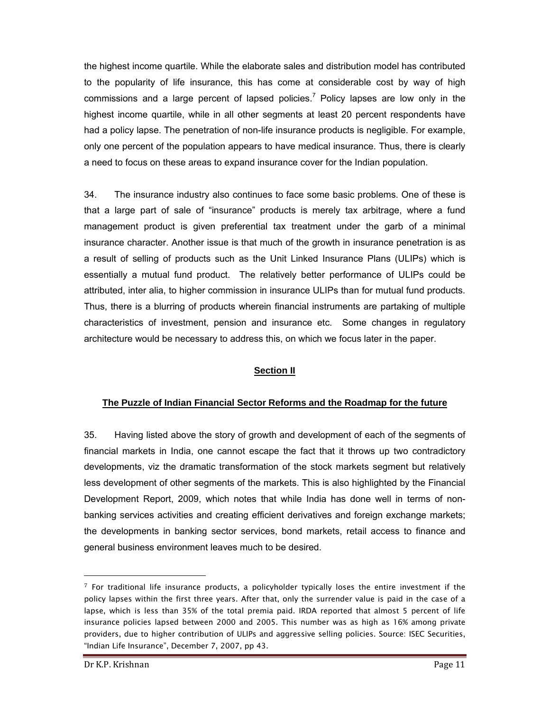the highest income quartile. While the elaborate sales and distribution model has contributed to the popularity of life insurance, this has come at considerable cost by way of high commissions and a large percent of lapsed policies.<sup>7</sup> Policy lapses are low only in the highest income quartile, while in all other segments at least 20 percent respondents have had a policy lapse. The penetration of non-life insurance products is negligible. For example, only one percent of the population appears to have medical insurance. Thus, there is clearly a need to focus on these areas to expand insurance cover for the Indian population.

34. The insurance industry also continues to face some basic problems. One of these is that a large part of sale of "insurance" products is merely tax arbitrage, where a fund management product is given preferential tax treatment under the garb of a minimal insurance character. Another issue is that much of the growth in insurance penetration is as a result of selling of products such as the Unit Linked Insurance Plans (ULIPs) which is essentially a mutual fund product. The relatively better performance of ULIPs could be attributed, inter alia, to higher commission in insurance ULIPs than for mutual fund products. Thus, there is a blurring of products wherein financial instruments are partaking of multiple characteristics of investment, pension and insurance etc. Some changes in regulatory architecture would be necessary to address this, on which we focus later in the paper.

## **Section II**

## **The Puzzle of Indian Financial Sector Reforms and the Roadmap for the future**

35. Having listed above the story of growth and development of each of the segments of financial markets in India, one cannot escape the fact that it throws up two contradictory developments, viz the dramatic transformation of the stock markets segment but relatively less development of other segments of the markets. This is also highlighted by the Financial Development Report, 2009, which notes that while India has done well in terms of nonbanking services activities and creating efficient derivatives and foreign exchange markets; the developments in banking sector services, bond markets, retail access to finance and general business environment leaves much to be desired.

 $7$  For traditional life insurance products, a policyholder typically loses the entire investment if the policy lapses within the first three years. After that, only the surrender value is paid in the case of a lapse, which is less than 35% of the total premia paid. IRDA reported that almost 5 percent of life insurance policies lapsed between 2000 and 2005. This number was as high as 16% among private providers, due to higher contribution of ULIPs and aggressive selling policies. Source: ISEC Securities, "Indian Life Insurance", December 7, 2007, pp 43.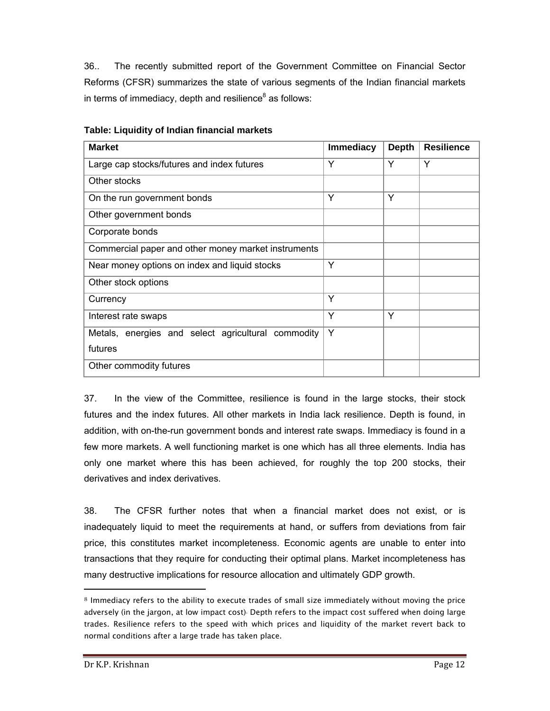36.. The recently submitted report of the Government Committee on Financial Sector Reforms (CFSR) summarizes the state of various segments of the Indian financial markets in terms of immediacy, depth and resilience $^8$  as follows:

| <b>Market</b>                                       | <b>Immediacy</b> | <b>Depth</b> | <b>Resilience</b> |
|-----------------------------------------------------|------------------|--------------|-------------------|
| Large cap stocks/futures and index futures          | Y                | Y            | Y                 |
| Other stocks                                        |                  |              |                   |
| On the run government bonds                         | Y                | Y            |                   |
| Other government bonds                              |                  |              |                   |
| Corporate bonds                                     |                  |              |                   |
| Commercial paper and other money market instruments |                  |              |                   |
| Near money options on index and liquid stocks       | Y                |              |                   |
| Other stock options                                 |                  |              |                   |
| Currency                                            | Y                |              |                   |
| Interest rate swaps                                 | Υ                | Y            |                   |
| Metals, energies and select agricultural commodity  | Y                |              |                   |
| futures                                             |                  |              |                   |
| Other commodity futures                             |                  |              |                   |

#### **Table: Liquidity of Indian financial markets**

37. In the view of the Committee, resilience is found in the large stocks, their stock futures and the index futures. All other markets in India lack resilience. Depth is found, in addition, with on-the-run government bonds and interest rate swaps. Immediacy is found in a few more markets. A well functioning market is one which has all three elements. India has only one market where this has been achieved, for roughly the top 200 stocks, their derivatives and index derivatives.

38. The CFSR further notes that when a financial market does not exist, or is inadequately liquid to meet the requirements at hand, or suffers from deviations from fair price, this constitutes market incompleteness. Economic agents are unable to enter into transactions that they require for conducting their optimal plans. Market incompleteness has many destructive implications for resource allocation and ultimately GDP growth.

-

<sup>8</sup> Immediacy refers to the ability to execute trades of small size immediately without moving the price adversely (in the jargon, at low impact cost). Depth refers to the impact cost suffered when doing large trades. Resilience refers to the speed with which prices and liquidity of the market revert back to normal conditions after a large trade has taken place.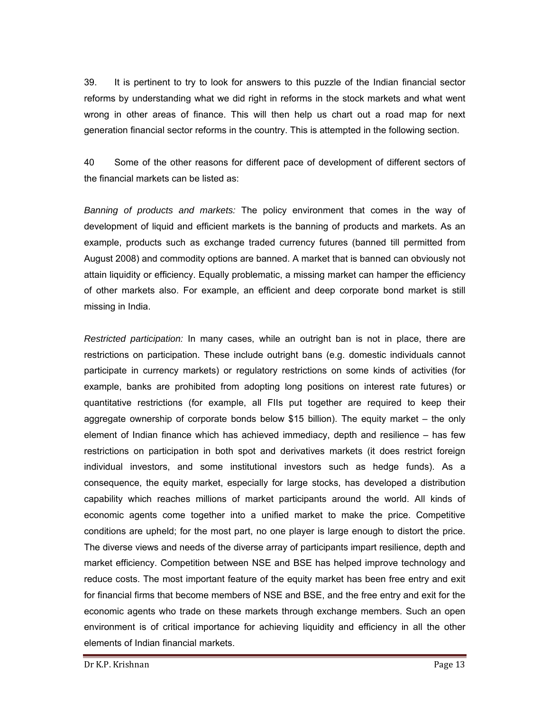39. It is pertinent to try to look for answers to this puzzle of the Indian financial sector reforms by understanding what we did right in reforms in the stock markets and what went wrong in other areas of finance. This will then help us chart out a road map for next generation financial sector reforms in the country. This is attempted in the following section.

40 Some of the other reasons for different pace of development of different sectors of the financial markets can be listed as:

*Banning of products and markets:* The policy environment that comes in the way of development of liquid and efficient markets is the banning of products and markets. As an example, products such as exchange traded currency futures (banned till permitted from August 2008) and commodity options are banned. A market that is banned can obviously not attain liquidity or efficiency. Equally problematic, a missing market can hamper the efficiency of other markets also. For example, an efficient and deep corporate bond market is still missing in India.

*Restricted participation:* In many cases, while an outright ban is not in place, there are restrictions on participation. These include outright bans (e.g. domestic individuals cannot participate in currency markets) or regulatory restrictions on some kinds of activities (for example, banks are prohibited from adopting long positions on interest rate futures) or quantitative restrictions (for example, all FIIs put together are required to keep their aggregate ownership of corporate bonds below \$15 billion). The equity market – the only element of Indian finance which has achieved immediacy, depth and resilience – has few restrictions on participation in both spot and derivatives markets (it does restrict foreign individual investors, and some institutional investors such as hedge funds). As a consequence, the equity market, especially for large stocks, has developed a distribution capability which reaches millions of market participants around the world. All kinds of economic agents come together into a unified market to make the price. Competitive conditions are upheld; for the most part, no one player is large enough to distort the price. The diverse views and needs of the diverse array of participants impart resilience, depth and market efficiency. Competition between NSE and BSE has helped improve technology and reduce costs. The most important feature of the equity market has been free entry and exit for financial firms that become members of NSE and BSE, and the free entry and exit for the economic agents who trade on these markets through exchange members. Such an open environment is of critical importance for achieving liquidity and efficiency in all the other elements of Indian financial markets.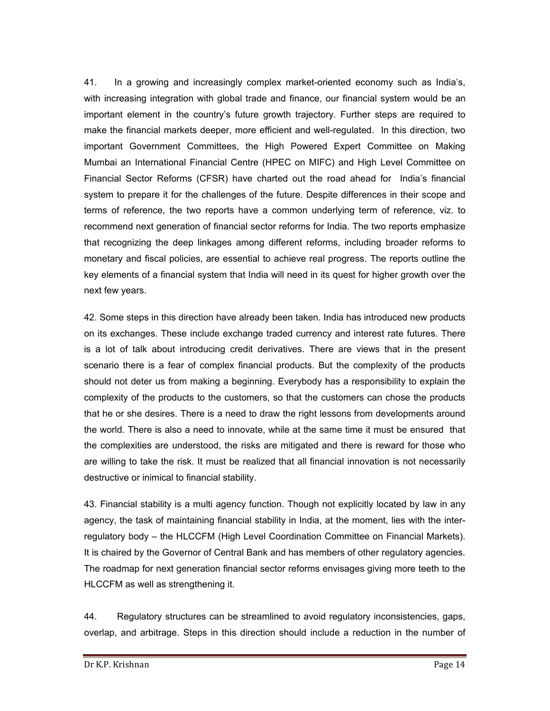41. In a growing and increasingly complex market-oriented economy such as India's, with increasing integration with global trade and finance, our financial system would be an important element in the country's future growth trajectory. Further steps are required to make the financial markets deeper, more efficient and well-regulated. In this direction, two important Government Committees, the High Powered Expert Committee on Making Mumbai an International Financial Centre (HPEC on MIFC) and High Level Committee on Financial Sector Reforms (CFSR) have charted out the road ahead for India's financial system to prepare it for the challenges of the future. Despite differences in their scope and terms of reference, the two reports have a common underlying term of reference, viz. to recommend next generation of financial sector reforms for India. The two reports emphasize that recognizing the deep linkages among different reforms, including broader reforms to monetary and fiscal policies, are essential to achieve real progress. The reports outline the key elements of a financial system that India will need in its quest for higher growth over the next few years.

42. Some steps in this direction have already been taken. India has introduced new products on its exchanges. These include exchange traded currency and interest rate futures. There is a lot of talk about introducing credit derivatives. There are views that in the present scenario there is a fear of complex financial products. But the complexity of the products should not deter us from making a beginning. Everybody has a responsibility to explain the complexity of the products to the customers, so that the customers can chose the products that he or she desires. There is a need to draw the right lessons from developments around the world. There is also a need to innovate, while at the same time it must be ensured that the complexities are understood, the risks are mitigated and there is reward for those who are willing to take the risk. It must be realized that all financial innovation is not necessarily destructive or inimical to financial stability.

43. Financial stability is a multi agency function. Though not explicitly located by law in any agency, the task of maintaining financial stability in India, at the moment, lies with the interregulatory body – the HLCCFM (High Level Coordination Committee on Financial Markets). It is chaired by the Governor of Central Bank and has members of other regulatory agencies. The roadmap for next generation financial sector reforms envisages giving more teeth to the HLCCFM as well as strengthening it.

44. Regulatory structures can be streamlined to avoid regulatory inconsistencies, gaps, overlap, and arbitrage. Steps in this direction should include a reduction in the number of